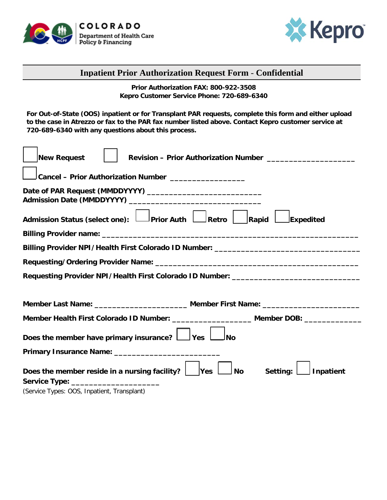



## **Inpatient Prior Authorization Request Form** - **Confidential**

**Prior Authorization FAX: 800-922-3508 Kepro Customer Service Phone: 720-689-6340**

**For Out-of-State (OOS) inpatient or for Transplant PAR requests, complete this form and either upload to the case in Atrezzo or fax to the PAR fax number listed above. Contact Kepro customer service at 720-689-6340 with any questions about this process.**

| <b>New Request</b>                                                                             |  |  |  |  |  |
|------------------------------------------------------------------------------------------------|--|--|--|--|--|
| Cancel - Prior Authorization Number __________________                                         |  |  |  |  |  |
|                                                                                                |  |  |  |  |  |
| Admission Status (select one): Deprior Auth Alectro Rapid<br>Expedited                         |  |  |  |  |  |
|                                                                                                |  |  |  |  |  |
| Billing Provider NPI/Health First Colorado ID Number: ___________________________              |  |  |  |  |  |
|                                                                                                |  |  |  |  |  |
| Requesting Provider NPI/Health First Colorado ID Number: ________________________              |  |  |  |  |  |
|                                                                                                |  |  |  |  |  |
|                                                                                                |  |  |  |  |  |
| Member Health First Colorado ID Number: _____________________ Member DOB: _____________        |  |  |  |  |  |
| Does the member have primary insurance? $\Box$ Yes<br>JNo                                      |  |  |  |  |  |
|                                                                                                |  |  |  |  |  |
| Setting:<br>Does the member reside in a nursing facility?  <br>∫ No<br><b>Yes</b><br>Inpatient |  |  |  |  |  |
| Service Type: ________________________<br>(Service Types: OOS, Inpatient, Transplant)          |  |  |  |  |  |